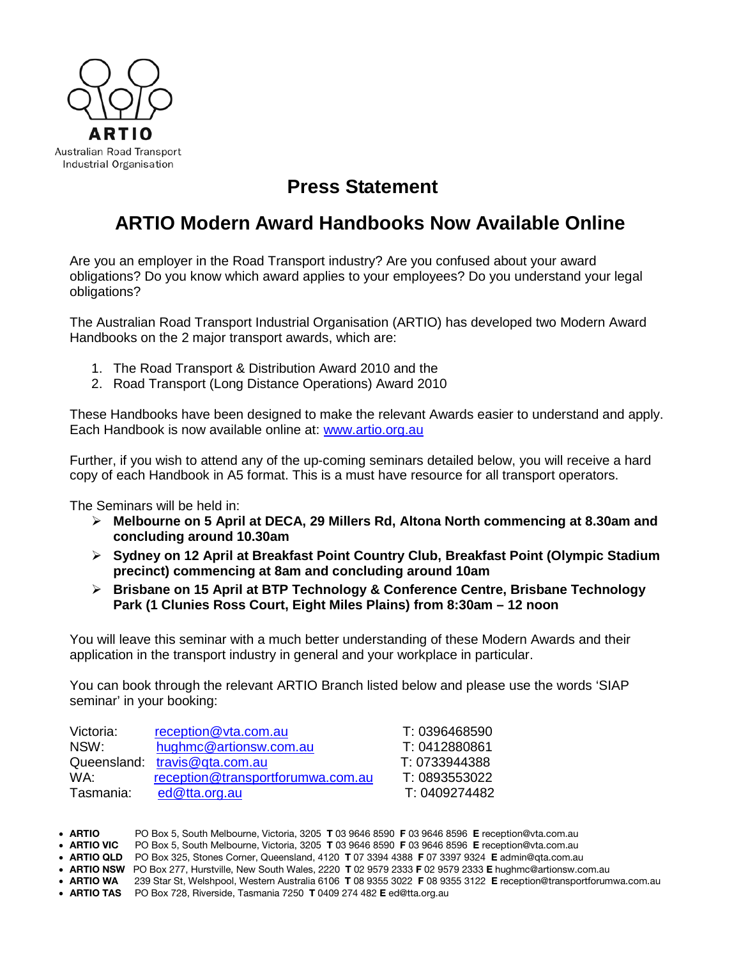

## **Press Statement**

## **ARTIO Modern Award Handbooks Now Available Online**

Are you an employer in the Road Transport industry? Are you confused about your award obligations? Do you know which award applies to your employees? Do you understand your legal obligations?

The Australian Road Transport Industrial Organisation (ARTIO) has developed two Modern Award Handbooks on the 2 major transport awards, which are:

- 1. The Road Transport & Distribution Award 2010 and the
- 2. Road Transport (Long Distance Operations) Award 2010

These Handbooks have been designed to make the relevant Awards easier to understand and apply. Each Handbook is now available online at: [www.artio.org.au](http://www.artio.org.au/)

Further, if you wish to attend any of the up-coming seminars detailed below, you will receive a hard copy of each Handbook in A5 format. This is a must have resource for all transport operators.

The Seminars will be held in:

- **Melbourne on 5 April at DECA, 29 Millers Rd, Altona North commencing at 8.30am and concluding around 10.30am**
- **Sydney on 12 April at Breakfast Point Country Club, Breakfast Point (Olympic Stadium precinct) commencing at 8am and concluding around 10am**
- **Brisbane on 15 April at BTP Technology & Conference Centre, Brisbane Technology Park (1 Clunies Ross Court, Eight Miles Plains) from 8:30am – 12 noon**

You will leave this seminar with a much better understanding of these Modern Awards and their application in the transport industry in general and your workplace in particular.

You can book through the relevant ARTIO Branch listed below and please use the words 'SIAP seminar' in your booking:

| Victoria: | reception@vta.com.au              | T: 0396468590 |
|-----------|-----------------------------------|---------------|
| NSW:      | hughmc@artionsw.com.au            | T: 0412880861 |
|           | Queensland: travis@gta.com.au     | T: 0733944388 |
| WA.       | reception@transportforumwa.com.au | T: 0893553022 |
| Tasmania: | ed@tta.org.au                     | T: 0409274482 |

• ARTIO PO Box 5, South Melbourne, Victoria, 3205 T 03 9646 8590 F 03 9646 8596 E reception@vta.com.au

• ARTIO VIC PO Box 5, South Melbourne, Victoria, 3205 T 03 9646 8590 F 03 9646 8596 E reception@vta.com.au

• ARTIO QLD PO Box 325, Stones Corner, Queensland, 4120 T 07 3394 4388 F 07 3397 9324 E admin@qta.com.au

• ARTIO NSW PO Box 277, Hurstville, New South Wales, 2220 T 02 9579 2333 F 02 9579 2333 E hughmc@artionsw.com.au

• ARTIO WA 239 Star St, Welshpool, Western Australia 6106 T 08 9355 3022 F 08 9355 3122 E reception@transportforumwa.com.au

• ARTIO TAS PO Box 728, Riverside, Tasmania 7250 T 0409 274 482 E ed@tta.org.au